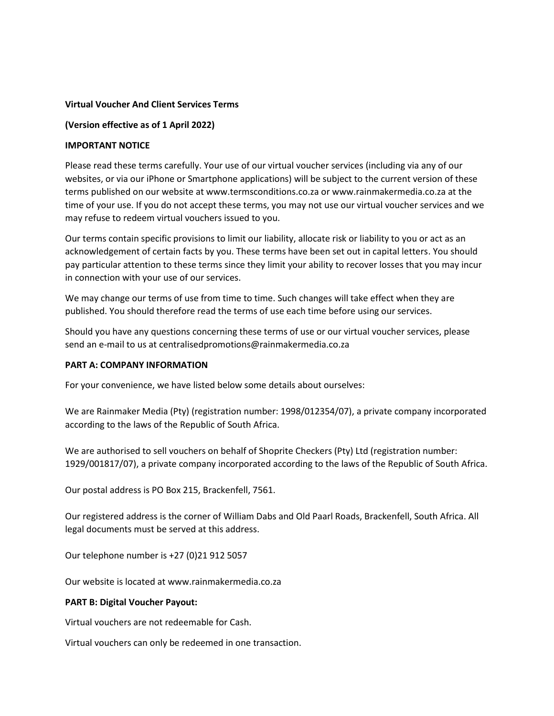## **Virtual Voucher And Client Services Terms**

## **(Version effective as of 1 April 2022)**

## **IMPORTANT NOTICE**

Please read these terms carefully. Your use of our virtual voucher services (including via any of our websites, or via our iPhone or Smartphone applications) will be subject to the current version of these terms published on our website at www.termsconditions.co.za or www.rainmakermedia.co.za at the time of your use. If you do not accept these terms, you may not use our virtual voucher services and we may refuse to redeem virtual vouchers issued to you.

Our terms contain specific provisions to limit our liability, allocate risk or liability to you or act as an acknowledgement of certain facts by you. These terms have been set out in capital letters. You should pay particular attention to these terms since they limit your ability to recover losses that you may incur in connection with your use of our services.

We may change our terms of use from time to time. Such changes will take effect when they are published. You should therefore read the terms of use each time before using our services.

Should you have any questions concerning these terms of use or our virtual voucher services, please send an e-mail to us at centralisedpromotions@rainmakermedia.co.za

### **PART A: COMPANY INFORMATION**

For your convenience, we have listed below some details about ourselves:

We are Rainmaker Media (Pty) (registration number: 1998/012354/07), a private company incorporated according to the laws of the Republic of South Africa.

We are authorised to sell vouchers on behalf of Shoprite Checkers (Pty) Ltd (registration number: 1929/001817/07), a private company incorporated according to the laws of the Republic of South Africa.

Our postal address is PO Box 215, Brackenfell, 7561.

Our registered address is the corner of William Dabs and Old Paarl Roads, Brackenfell, South Africa. All legal documents must be served at this address.

Our telephone number is +27 (0)21 912 5057

Our website is located at www.rainmakermedia.co.za

### **PART B: Digital Voucher Payout:**

Virtual vouchers are not redeemable for Cash.

Virtual vouchers can only be redeemed in one transaction.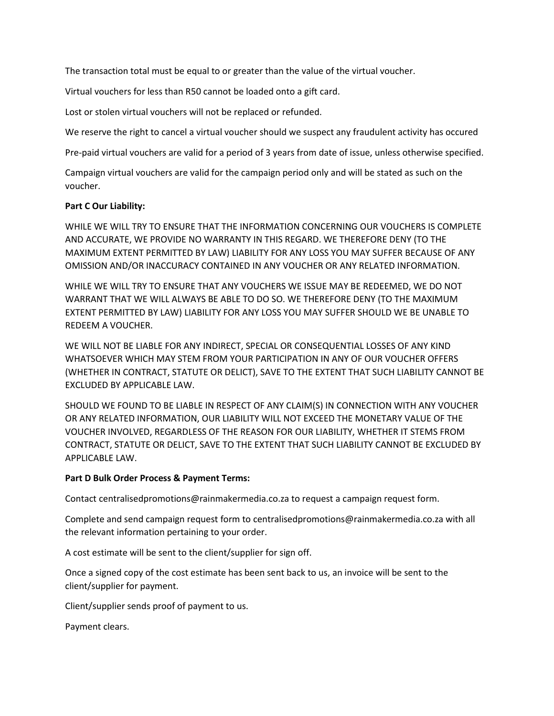The transaction total must be equal to or greater than the value of the virtual voucher.

Virtual vouchers for less than R50 cannot be loaded onto a gift card.

Lost or stolen virtual vouchers will not be replaced or refunded.

We reserve the right to cancel a virtual voucher should we suspect any fraudulent activity has occured

Pre-paid virtual vouchers are valid for a period of 3 years from date of issue, unless otherwise specified.

Campaign virtual vouchers are valid for the campaign period only and will be stated as such on the voucher.

## **Part C Our Liability:**

WHILE WE WILL TRY TO ENSURE THAT THE INFORMATION CONCERNING OUR VOUCHERS IS COMPLETE AND ACCURATE, WE PROVIDE NO WARRANTY IN THIS REGARD. WE THEREFORE DENY (TO THE MAXIMUM EXTENT PERMITTED BY LAW) LIABILITY FOR ANY LOSS YOU MAY SUFFER BECAUSE OF ANY OMISSION AND/OR INACCURACY CONTAINED IN ANY VOUCHER OR ANY RELATED INFORMATION.

WHILE WE WILL TRY TO ENSURE THAT ANY VOUCHERS WE ISSUE MAY BE REDEEMED, WE DO NOT WARRANT THAT WE WILL ALWAYS BE ABLE TO DO SO. WE THEREFORE DENY (TO THE MAXIMUM EXTENT PERMITTED BY LAW) LIABILITY FOR ANY LOSS YOU MAY SUFFER SHOULD WE BE UNABLE TO REDEEM A VOUCHER.

WE WILL NOT BE LIABLE FOR ANY INDIRECT, SPECIAL OR CONSEQUENTIAL LOSSES OF ANY KIND WHATSOEVER WHICH MAY STEM FROM YOUR PARTICIPATION IN ANY OF OUR VOUCHER OFFERS (WHETHER IN CONTRACT, STATUTE OR DELICT), SAVE TO THE EXTENT THAT SUCH LIABILITY CANNOT BE EXCLUDED BY APPLICABLE LAW.

SHOULD WE FOUND TO BE LIABLE IN RESPECT OF ANY CLAIM(S) IN CONNECTION WITH ANY VOUCHER OR ANY RELATED INFORMATION, OUR LIABILITY WILL NOT EXCEED THE MONETARY VALUE OF THE VOUCHER INVOLVED, REGARDLESS OF THE REASON FOR OUR LIABILITY, WHETHER IT STEMS FROM CONTRACT, STATUTE OR DELICT, SAVE TO THE EXTENT THAT SUCH LIABILITY CANNOT BE EXCLUDED BY APPLICABLE LAW.

### **Part D Bulk Order Process & Payment Terms:**

Contact centralisedpromotions@rainmakermedia.co.za to request a campaign request form.

Complete and send campaign request form to centralisedpromotions@rainmakermedia.co.za with all the relevant information pertaining to your order.

A cost estimate will be sent to the client/supplier for sign off.

Once a signed copy of the cost estimate has been sent back to us, an invoice will be sent to the client/supplier for payment.

Client/supplier sends proof of payment to us.

Payment clears.